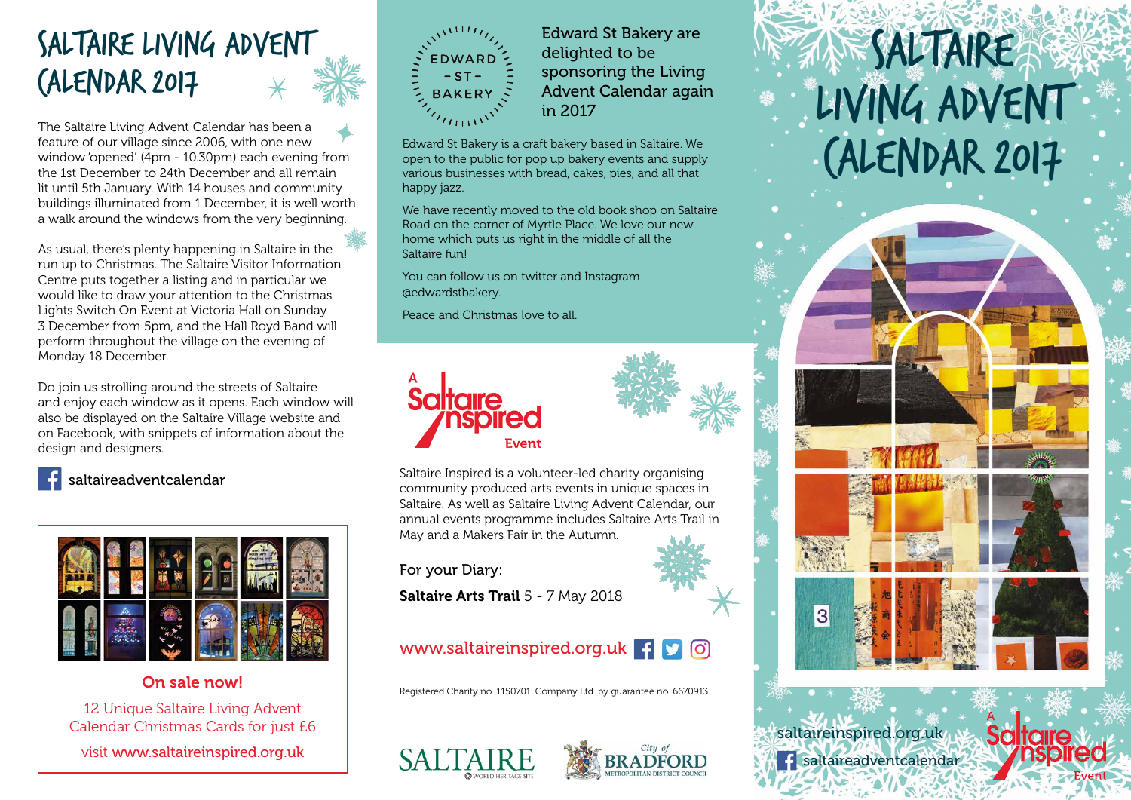### Saltaire Living Advent Calendar 2017

The Saltaire Living Advent Calendar has been a feature of our village since 2006, with one new window 'opened' (4pm - 10.30pm) each evening from the 1st December to 24th December and all remain lit until 5th January. With 14 houses and community buildings illuminated from 1 December, it is well worth a walk around the windows from the very beginning.

As usual, there's plenty happening in Saltaire in the run up to Christmas. The Saltaire Visitor Information Centre puts together a listing and in particular we would like to draw your attention to the Christmas Lights Switch On Event at Victoria Hall on Sunday 3 December from 5pm, and the Hall Royd Band will perform throughout the village on the evening of Monday 18 December.

Do join us strolling around the streets of Saltaire and enjoy each window as it opens. Each window will also be displayed on the Saltaire Village website and on Facebook, with snippets of information about the design and designers. We said that  $\alpha$ new window is a change of the contract of the contract of the contract of the contract of the contract of the contract of the contract of the contract of the contract of the contract of the contract of the contract of the



#### saltaire advent calendar



#### On sale now!

12 Unique Saltaire Living Advent The Unique Calitaire Enting Adventure<br>Calendar Christmas Cards for just E6

visit www.<mark>saltaireinspired.org.uk</mark>



Edward St Bakery are delighted to be sponsoring the Living Advent Calendar again in 2017

Edward St Bakery is a craft bakery based in Saltaire. We open to the public for pop up bakery events and supply various businesses with bread, cakes, pies, and all that happy jazz.

We have recently moved to the old book shop on Saltaire Road on the corner of Myrtle Place. We love our new home which puts us right in the middle of all the Saltaire fun!

You can follow us on twitter and Instagram @edwardstbakery.

Peace and Christmas love to all.





Saltaire Inspired is a volunteer-led charity organising community produced arts events in unique spaces in Saltaire. As well as Saltaire Living Advent Calendar, our annual events programme includes Saltaire Arts Trail in May and a Makers Fair in the Autumn.

For your Diary:

Saltaire Arts Trail 5 - 7 May 2018

#### www.saltaireinspired.org.uk **+**  $\Box$  0

Registered Charity no. 1150701. Company Ltd. by guarantee no. 6670913





# Saltaire Living Advent Calendar 2017



saltaireinspired.org.uk saltaireadventcalendar

**Saltaire**